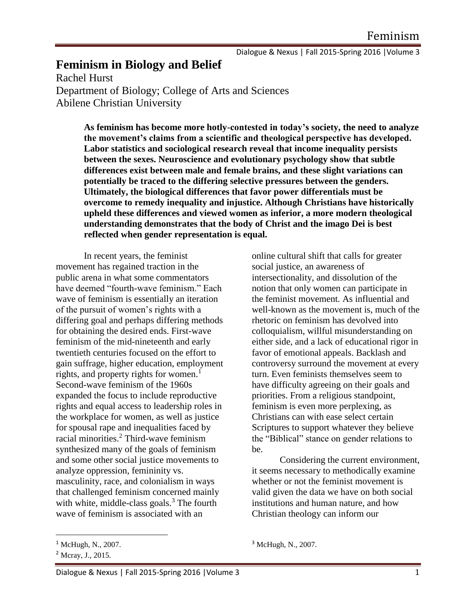Dialogue & Nexus | Fall 2015-Spring 2016 |Volume 3

# **Feminism in Biology and Belief**

Rachel Hurst Department of Biology; College of Arts and Sciences Abilene Christian University

> **As feminism has become more hotly-contested in today's society, the need to analyze the movement's claims from a scientific and theological perspective has developed. Labor statistics and sociological research reveal that income inequality persists between the sexes. Neuroscience and evolutionary psychology show that subtle differences exist between male and female brains, and these slight variations can potentially be traced to the differing selective pressures between the genders. Ultimately, the biological differences that favor power differentials must be overcome to remedy inequality and injustice. Although Christians have historically upheld these differences and viewed women as inferior, a more modern theological understanding demonstrates that the body of Christ and the imago Dei is best reflected when gender representation is equal.**

In recent years, the feminist movement has regained traction in the public arena in what some commentators have deemed "fourth-wave feminism." Each wave of feminism is essentially an iteration of the pursuit of women's rights with a differing goal and perhaps differing methods for obtaining the desired ends. First-wave feminism of the mid-nineteenth and early twentieth centuries focused on the effort to gain suffrage, higher education, employment rights, and property rights for women.<sup>1</sup> Second-wave feminism of the 1960s expanded the focus to include reproductive rights and equal access to leadership roles in the workplace for women, as well as justice for spousal rape and inequalities faced by racial minorities.<sup>2</sup> Third-wave feminism synthesized many of the goals of feminism and some other social justice movements to analyze oppression, femininity vs. masculinity, race, and colonialism in ways that challenged feminism concerned mainly with white, middle-class goals. $3$  The fourth wave of feminism is associated with an

 $\overline{\phantom{a}}$ 

online cultural shift that calls for greater social justice, an awareness of intersectionality, and dissolution of the notion that only women can participate in the feminist movement. As influential and well-known as the movement is, much of the rhetoric on feminism has devolved into colloquialism, willful misunderstanding on either side, and a lack of educational rigor in favor of emotional appeals. Backlash and controversy surround the movement at every turn. Even feminists themselves seem to have difficulty agreeing on their goals and priorities. From a religious standpoint, feminism is even more perplexing, as Christians can with ease select certain Scriptures to support whatever they believe the "Biblical" stance on gender relations to be.

Considering the current environment, it seems necessary to methodically examine whether or not the feminist movement is valid given the data we have on both social institutions and human nature, and how Christian theology can inform our

<sup>&</sup>lt;sup>1</sup> McHugh, N., 2007.

<sup>2</sup> Mcray, J., 2015.

<sup>&</sup>lt;sup>3</sup> McHugh, N., 2007.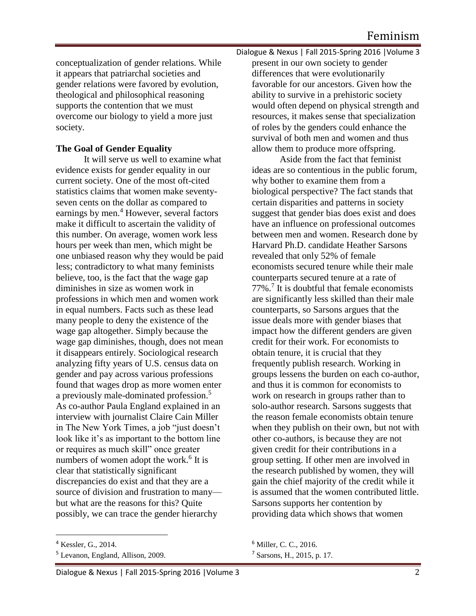conceptualization of gender relations. While it appears that patriarchal societies and gender relations were favored by evolution, theological and philosophical reasoning supports the contention that we must overcome our biology to yield a more just society.

## **The Goal of Gender Equality**

It will serve us well to examine what evidence exists for gender equality in our current society. One of the most oft-cited statistics claims that women make seventyseven cents on the dollar as compared to earnings by men.<sup>4</sup> However, several factors make it difficult to ascertain the validity of this number. On average, women work less hours per week than men, which might be one unbiased reason why they would be paid less; contradictory to what many feminists believe, too, is the fact that the wage gap diminishes in size as women work in professions in which men and women work in equal numbers. Facts such as these lead many people to deny the existence of the wage gap altogether. Simply because the wage gap diminishes, though, does not mean it disappears entirely. Sociological research analyzing fifty years of U.S. census data on gender and pay across various professions found that wages drop as more women enter a previously male-dominated profession.<sup>5</sup> As co-author Paula England explained in an interview with journalist Claire Cain Miller in The New York Times, a job "just doesn't look like it's as important to the bottom line or requires as much skill" once greater numbers of women adopt the work.<sup>6</sup> It is clear that statistically significant discrepancies do exist and that they are a source of division and frustration to many but what are the reasons for this? Quite possibly, we can trace the gender hierarchy

 $\overline{\phantom{a}}$ 

Dialogue & Nexus | Fall 2015-Spring 2016 |Volume 3 present in our own society to gender differences that were evolutionarily favorable for our ancestors. Given how the ability to survive in a prehistoric society would often depend on physical strength and resources, it makes sense that specialization of roles by the genders could enhance the survival of both men and women and thus allow them to produce more offspring.

Aside from the fact that feminist ideas are so contentious in the public forum, why bother to examine them from a biological perspective? The fact stands that certain disparities and patterns in society suggest that gender bias does exist and does have an influence on professional outcomes between men and women. Research done by Harvard Ph.D. candidate Heather Sarsons revealed that only 52% of female economists secured tenure while their male counterparts secured tenure at a rate of 77%.<sup>7</sup> It is doubtful that female economists are significantly less skilled than their male counterparts, so Sarsons argues that the issue deals more with gender biases that impact how the different genders are given credit for their work. For economists to obtain tenure, it is crucial that they frequently publish research. Working in groups lessens the burden on each co-author, and thus it is common for economists to work on research in groups rather than to solo-author research. Sarsons suggests that the reason female economists obtain tenure when they publish on their own, but not with other co-authors, is because they are not given credit for their contributions in a group setting. If other men are involved in the research published by women, they will gain the chief majority of the credit while it is assumed that the women contributed little. Sarsons supports her contention by providing data which shows that women

<sup>4</sup> Kessler, G., 2014.

<sup>5</sup> Levanon, England, Allison, 2009.

<sup>6</sup> Miller, C. C., 2016.

<sup>7</sup> Sarsons, H., 2015, p. 17.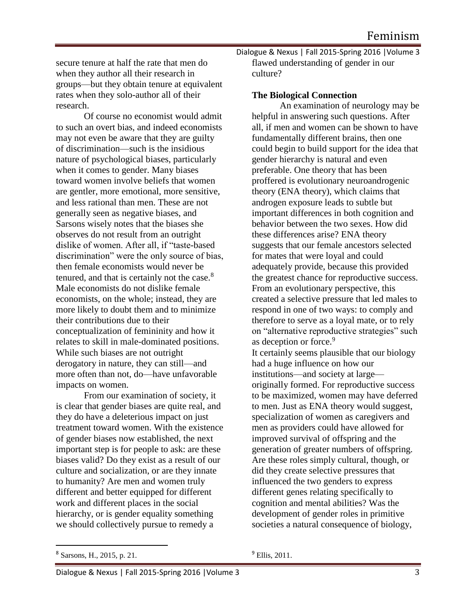secure tenure at half the rate that men do when they author all their research in groups—but they obtain tenure at equivalent rates when they solo-author all of their research.

Of course no economist would admit to such an overt bias, and indeed economists may not even be aware that they are guilty of discrimination—such is the insidious nature of psychological biases, particularly when it comes to gender. Many biases toward women involve beliefs that women are gentler, more emotional, more sensitive, and less rational than men. These are not generally seen as negative biases, and Sarsons wisely notes that the biases she observes do not result from an outright dislike of women. After all, if "taste-based discrimination" were the only source of bias, then female economists would never be tenured, and that is certainly not the case.<sup>8</sup> Male economists do not dislike female economists, on the whole; instead, they are more likely to doubt them and to minimize their contributions due to their conceptualization of femininity and how it relates to skill in male-dominated positions. While such biases are not outright derogatory in nature, they can still—and more often than not, do—have unfavorable impacts on women.

From our examination of society, it is clear that gender biases are quite real, and they do have a deleterious impact on just treatment toward women. With the existence of gender biases now established, the next important step is for people to ask: are these biases valid? Do they exist as a result of our culture and socialization, or are they innate to humanity? Are men and women truly different and better equipped for different work and different places in the social hierarchy, or is gender equality something we should collectively pursue to remedy a

Dialogue & Nexus | Fall 2015-Spring 2016 |Volume 3 flawed understanding of gender in our culture?

#### **The Biological Connection**

An examination of neurology may be helpful in answering such questions. After all, if men and women can be shown to have fundamentally different brains, then one could begin to build support for the idea that gender hierarchy is natural and even preferable. One theory that has been proffered is evolutionary neuroandrogenic theory (ENA theory), which claims that androgen exposure leads to subtle but important differences in both cognition and behavior between the two sexes. How did these differences arise? ENA theory suggests that our female ancestors selected for mates that were loyal and could adequately provide, because this provided the greatest chance for reproductive success. From an evolutionary perspective, this created a selective pressure that led males to respond in one of two ways: to comply and therefore to serve as a loyal mate, or to rely on "alternative reproductive strategies" such as deception or force.<sup>9</sup> It certainly seems plausible that our biology had a huge influence on how our institutions—and society at large originally formed. For reproductive success to be maximized, women may have deferred to men. Just as ENA theory would suggest, specialization of women as caregivers and men as providers could have allowed for improved survival of offspring and the generation of greater numbers of offspring. Are these roles simply cultural, though, or did they create selective pressures that influenced the two genders to express different genes relating specifically to cognition and mental abilities? Was the development of gender roles in primitive societies a natural consequence of biology,

 $\overline{\phantom{a}}$ 

<sup>9</sup> Ellis, 2011.

<sup>8</sup> Sarsons, H., 2015, p. 21.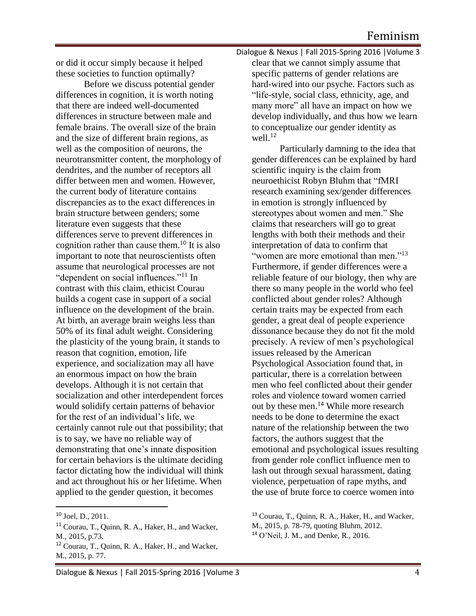or did it occur simply because it helped these societies to function optimally?

Before we discuss potential gender differences in cognition, it is worth noting that there are indeed well-documented differences in structure between male and female brains. The overall size of the brain and the size of different brain regions, as well as the composition of neurons, the neurotransmitter content, the morphology of dendrites, and the number of receptors all differ between men and women. However, the current body of literature contains discrepancies as to the exact differences in brain structure between genders; some literature even suggests that these differences serve to prevent differences in cognition rather than cause them.<sup>10</sup> It is also important to note that neuroscientists often assume that neurological processes are not "dependent on social influences."<sup>11</sup> In contrast with this claim, ethicist Courau builds a cogent case in support of a social influence on the development of the brain. At birth, an average brain weighs less than 50% of its final adult weight. Considering the plasticity of the young brain, it stands to reason that cognition, emotion, life experience, and socialization may all have an enormous impact on how the brain develops. Although it is not certain that socialization and other interdependent forces would solidify certain patterns of behavior for the rest of an individual's life, we certainly cannot rule out that possibility; that is to say, we have no reliable way of demonstrating that one's innate disposition for certain behaviors is the ultimate deciding factor dictating how the individual will think and act throughout his or her lifetime. When applied to the gender question, it becomes

 $\overline{\phantom{a}}$ 

Dialogue & Nexus | Fall 2015-Spring 2016 |Volume 3 clear that we cannot simply assume that specific patterns of gender relations are hard-wired into our psyche. Factors such as "life-style, social class, ethnicity, age, and many more" all have an impact on how we develop individually, and thus how we learn to conceptualize our gender identity as well. $12$ 

Particularly damning to the idea that gender differences can be explained by hard scientific inquiry is the claim from neuroethicist Robyn Bluhm that "fMRI research examining sex/gender differences in emotion is strongly influenced by stereotypes about women and men." She claims that researchers will go to great lengths with both their methods and their interpretation of data to confirm that "women are more emotional than men."<sup>13</sup> Furthermore, if gender differences were a reliable feature of our biology, then why are there so many people in the world who feel conflicted about gender roles? Although certain traits may be expected from each gender, a great deal of people experience dissonance because they do not fit the mold precisely. A review of men's psychological issues released by the American Psychological Association found that, in particular, there is a correlation between men who feel conflicted about their gender roles and violence toward women carried out by these men.<sup>14</sup> While more research needs to be done to determine the exact nature of the relationship between the two factors, the authors suggest that the emotional and psychological issues resulting from gender role conflict influence men to lash out through sexual harassment, dating violence, perpetuation of rape myths, and the use of brute force to coerce women into

<sup>10</sup> Joel, D., 2011.

<sup>11</sup> Courau, T., Quinn, R. A., Haker, H., and Wacker, M., 2015, p.73.

<sup>12</sup> Courau, T., Quinn, R. A., Haker, H., and Wacker, M., 2015, p. 77.

<sup>13</sup> Courau, T., Quinn, R. A., Haker, H., and Wacker,

M., 2015, p. 78-79, quoting Bluhm, 2012.

 $14$  O'Neil, J. M., and Denke, R., 2016.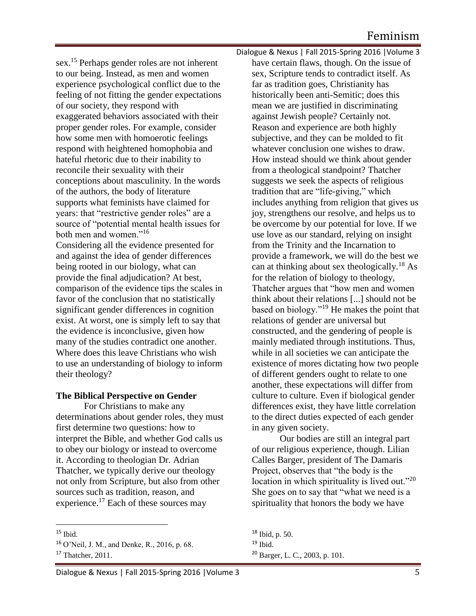sex.<sup>15</sup> Perhaps gender roles are not inherent to our being. Instead, as men and women experience psychological conflict due to the feeling of not fitting the gender expectations of our society, they respond with exaggerated behaviors associated with their proper gender roles. For example, consider how some men with homoerotic feelings respond with heightened homophobia and hateful rhetoric due to their inability to reconcile their sexuality with their conceptions about masculinity. In the words of the authors, the body of literature supports what feminists have claimed for years: that "restrictive gender roles" are a source of "potential mental health issues for both men and women."<sup>16</sup> Considering all the evidence presented for

and against the idea of gender differences being rooted in our biology, what can provide the final adjudication? At best, comparison of the evidence tips the scales in favor of the conclusion that no statistically significant gender differences in cognition exist. At worst, one is simply left to say that the evidence is inconclusive, given how many of the studies contradict one another. Where does this leave Christians who wish to use an understanding of biology to inform their theology?

#### **The Biblical Perspective on Gender**

For Christians to make any determinations about gender roles, they must first determine two questions: how to interpret the Bible, and whether God calls us to obey our biology or instead to overcome it. According to theologian Dr. Adrian Thatcher, we typically derive our theology not only from Scripture, but also from other sources such as tradition, reason, and experience.<sup>17</sup> Each of these sources may

 $\overline{a}$ 

Dialogue & Nexus | Fall 2015-Spring 2016 |Volume 3 have certain flaws, though. On the issue of sex, Scripture tends to contradict itself. As far as tradition goes, Christianity has historically been anti-Semitic; does this mean we are justified in discriminating against Jewish people? Certainly not. Reason and experience are both highly subjective, and they can be molded to fit whatever conclusion one wishes to draw. How instead should we think about gender from a theological standpoint? Thatcher suggests we seek the aspects of religious tradition that are "life-giving," which includes anything from religion that gives us joy, strengthens our resolve, and helps us to be overcome by our potential for love. If we use love as our standard, relying on insight from the Trinity and the Incarnation to provide a framework, we will do the best we can at thinking about sex theologically.<sup>18</sup> As for the relation of biology to theology, Thatcher argues that "how men and women think about their relations [...] should not be based on biology."<sup>19</sup> He makes the point that relations of gender are universal but constructed, and the gendering of people is mainly mediated through institutions. Thus, while in all societies we can anticipate the existence of mores dictating how two people of different genders ought to relate to one another, these expectations will differ from culture to culture. Even if biological gender differences exist, they have little correlation to the direct duties expected of each gender in any given society.

Our bodies are still an integral part of our religious experience, though. Lilian Calles Barger, president of The Damaris Project, observes that "the body is the location in which spirituality is lived out."<sup>20</sup> She goes on to say that "what we need is a spirituality that honors the body we have

 $15$  Ibid.

<sup>16</sup> O'Neil, J. M., and Denke, R., 2016, p. 68.

<sup>&</sup>lt;sup>17</sup> Thatcher, 2011.

<sup>18</sup> Ibid, p. 50.  $19$  Ibid. <sup>20</sup> Barger, L. C., 2003, p. 101.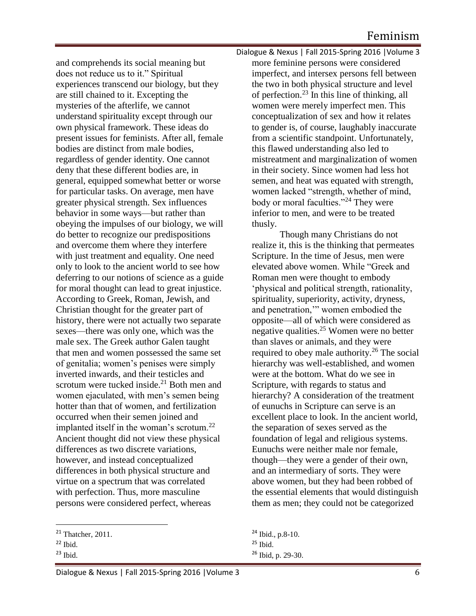and comprehends its social meaning but does not reduce us to it." Spiritual experiences transcend our biology, but they are still chained to it. Excepting the mysteries of the afterlife, we cannot understand spirituality except through our own physical framework. These ideas do present issues for feminists. After all, female bodies are distinct from male bodies, regardless of gender identity. One cannot deny that these different bodies are, in general, equipped somewhat better or worse for particular tasks. On average, men have greater physical strength. Sex influences behavior in some ways—but rather than obeying the impulses of our biology, we will do better to recognize our predispositions and overcome them where they interfere with just treatment and equality. One need only to look to the ancient world to see how deferring to our notions of science as a guide for moral thought can lead to great injustice. According to Greek, Roman, Jewish, and Christian thought for the greater part of history, there were not actually two separate sexes—there was only one, which was the male sex. The Greek author Galen taught that men and women possessed the same set of genitalia; women's penises were simply inverted inwards, and their testicles and scrotum were tucked inside.<sup>21</sup> Both men and women ejaculated, with men's semen being hotter than that of women, and fertilization occurred when their semen joined and implanted itself in the woman's scrotum.<sup>22</sup> Ancient thought did not view these physical differences as two discrete variations, however, and instead conceptualized differences in both physical structure and virtue on a spectrum that was correlated with perfection. Thus, more masculine persons were considered perfect, whereas

 $\overline{a}$ 

Dialogue & Nexus | Fall 2015-Spring 2016 |Volume 3 more feminine persons were considered imperfect, and intersex persons fell between the two in both physical structure and level of perfection.<sup>23</sup> In this line of thinking, all women were merely imperfect men. This conceptualization of sex and how it relates to gender is, of course, laughably inaccurate from a scientific standpoint. Unfortunately, this flawed understanding also led to mistreatment and marginalization of women in their society. Since women had less hot semen, and heat was equated with strength, women lacked "strength, whether of mind, body or moral faculties."<sup>24</sup> They were inferior to men, and were to be treated thusly.

Though many Christians do not realize it, this is the thinking that permeates Scripture. In the time of Jesus, men were elevated above women. While "Greek and Roman men were thought to embody 'physical and political strength, rationality, spirituality, superiority, activity, dryness, and penetration,'" women embodied the opposite—all of which were considered as negative qualities.<sup>25</sup> Women were no better than slaves or animals, and they were required to obey male authority.<sup>26</sup> The social hierarchy was well-established, and women were at the bottom. What do we see in Scripture, with regards to status and hierarchy? A consideration of the treatment of eunuchs in Scripture can serve is an excellent place to look. In the ancient world, the separation of sexes served as the foundation of legal and religious systems. Eunuchs were neither male nor female, though—they were a gender of their own, and an intermediary of sorts. They were above women, but they had been robbed of the essential elements that would distinguish them as men; they could not be categorized

 $21$  Thatcher, 2011.

 $22$  Ibid.

 $23$  Ibid.

<sup>24</sup> Ibid., p.8-10.  $25$  Ibid.  $26$  Ibid, p. 29-30.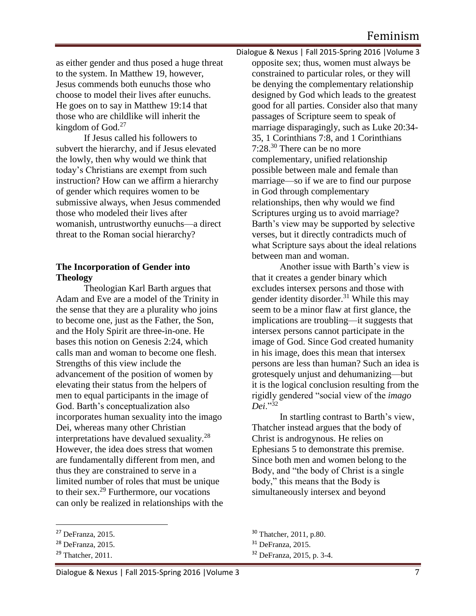as either gender and thus posed a huge threat to the system. In Matthew 19, however, Jesus commends both eunuchs those who choose to model their lives after eunuchs. He goes on to say in Matthew 19:14 that those who are childlike will inherit the kingdom of  $God.<sup>27</sup>$ 

If Jesus called his followers to subvert the hierarchy, and if Jesus elevated the lowly, then why would we think that today's Christians are exempt from such instruction? How can we affirm a hierarchy of gender which requires women to be submissive always, when Jesus commended those who modeled their lives after womanish, untrustworthy eunuchs—a direct threat to the Roman social hierarchy?

### **The Incorporation of Gender into Theology**

Theologian Karl Barth argues that Adam and Eve are a model of the Trinity in the sense that they are a plurality who joins to become one, just as the Father, the Son, and the Holy Spirit are three-in-one. He bases this notion on Genesis 2:24, which calls man and woman to become one flesh. Strengths of this view include the advancement of the position of women by elevating their status from the helpers of men to equal participants in the image of God. Barth's conceptualization also incorporates human sexuality into the imago Dei, whereas many other Christian interpretations have devalued sexuality.<sup>28</sup> However, the idea does stress that women are fundamentally different from men, and thus they are constrained to serve in a limited number of roles that must be unique to their sex. $^{29}$  Furthermore, our vocations can only be realized in relationships with the

 $\overline{a}$ 

Dialogue & Nexus | Fall 2015-Spring 2016 |Volume 3 opposite sex; thus, women must always be constrained to particular roles, or they will be denying the complementary relationship designed by God which leads to the greatest good for all parties. Consider also that many passages of Scripture seem to speak of marriage disparagingly, such as Luke 20:34- 35, 1 Corinthians 7:8, and 1 Corinthians 7:28.<sup>30</sup> There can be no more complementary, unified relationship possible between male and female than marriage—so if we are to find our purpose in God through complementary relationships, then why would we find Scriptures urging us to avoid marriage? Barth's view may be supported by selective verses, but it directly contradicts much of what Scripture says about the ideal relations between man and woman.

Another issue with Barth's view is that it creates a gender binary which excludes intersex persons and those with gender identity disorder.<sup>31</sup> While this may seem to be a minor flaw at first glance, the implications are troubling—it suggests that intersex persons cannot participate in the image of God. Since God created humanity in his image, does this mean that intersex persons are less than human? Such an idea is grotesquely unjust and dehumanizing—but it is the logical conclusion resulting from the rigidly gendered "social view of the *imago Dei*."<sup>32</sup>

In startling contrast to Barth's view, Thatcher instead argues that the body of Christ is androgynous. He relies on Ephesians 5 to demonstrate this premise. Since both men and women belong to the Body, and "the body of Christ is a single body," this means that the Body is simultaneously intersex and beyond

<sup>27</sup> DeFranza, 2015.

<sup>28</sup> DeFranza, 2015.

 $29$  Thatcher, 2011.

<sup>30</sup> Thatcher, 2011, p.80.

<sup>&</sup>lt;sup>31</sup> DeFranza, 2015.

<sup>32</sup> DeFranza, 2015, p. 3-4.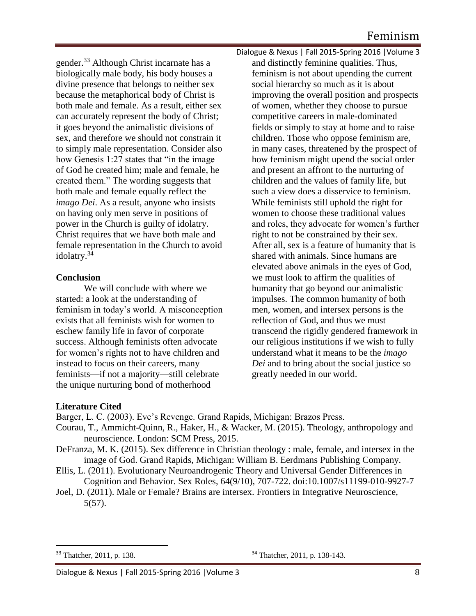gender.<sup>33</sup> Although Christ incarnate has a biologically male body, his body houses a divine presence that belongs to neither sex because the metaphorical body of Christ is both male and female. As a result, either sex can accurately represent the body of Christ; it goes beyond the animalistic divisions of sex, and therefore we should not constrain it to simply male representation. Consider also how Genesis 1:27 states that "in the image" of God he created him; male and female, he created them." The wording suggests that both male and female equally reflect the *imago Dei*. As a result, anyone who insists on having only men serve in positions of power in the Church is guilty of idolatry. Christ requires that we have both male and female representation in the Church to avoid idolatry.<sup>34</sup>

## **Conclusion**

We will conclude with where we started: a look at the understanding of feminism in today's world. A misconception exists that all feminists wish for women to eschew family life in favor of corporate success. Although feminists often advocate for women's rights not to have children and instead to focus on their careers, many feminists—if not a majority—still celebrate the unique nurturing bond of motherhood

Dialogue & Nexus | Fall 2015-Spring 2016 |Volume 3 and distinctly feminine qualities. Thus, feminism is not about upending the current social hierarchy so much as it is about improving the overall position and prospects of women, whether they choose to pursue competitive careers in male-dominated fields or simply to stay at home and to raise children. Those who oppose feminism are, in many cases, threatened by the prospect of how feminism might upend the social order and present an affront to the nurturing of children and the values of family life, but such a view does a disservice to feminism. While feminists still uphold the right for women to choose these traditional values and roles, they advocate for women's further right to not be constrained by their sex. After all, sex is a feature of humanity that is shared with animals. Since humans are elevated above animals in the eyes of God, we must look to affirm the qualities of humanity that go beyond our animalistic impulses. The common humanity of both men, women, and intersex persons is the reflection of God, and thus we must transcend the rigidly gendered framework in our religious institutions if we wish to fully understand what it means to be the *imago Dei* and to bring about the social justice so greatly needed in our world.

## **Literature Cited**

Barger, L. C. (2003). Eve's Revenge. Grand Rapids, Michigan: Brazos Press.

- Courau, T., Ammicht-Quinn, R., Haker, H., & Wacker, M. (2015). Theology, anthropology and neuroscience. London: SCM Press, 2015.
- DeFranza, M. K. (2015). Sex difference in Christian theology : male, female, and intersex in the image of God. Grand Rapids, Michigan: William B. Eerdmans Publishing Company.
- Ellis, L. (2011). Evolutionary Neuroandrogenic Theory and Universal Gender Differences in Cognition and Behavior. Sex Roles, 64(9/10), 707-722. doi:10.1007/s11199-010-9927-7
- Joel, D. (2011). Male or Female? Brains are intersex. Frontiers in Integrative Neuroscience, 5(57).

 $\overline{\phantom{a}}$ 

 $33$  Thatcher, 2011, p. 138.  $34$  Thatcher, 2011, p. 138-143.